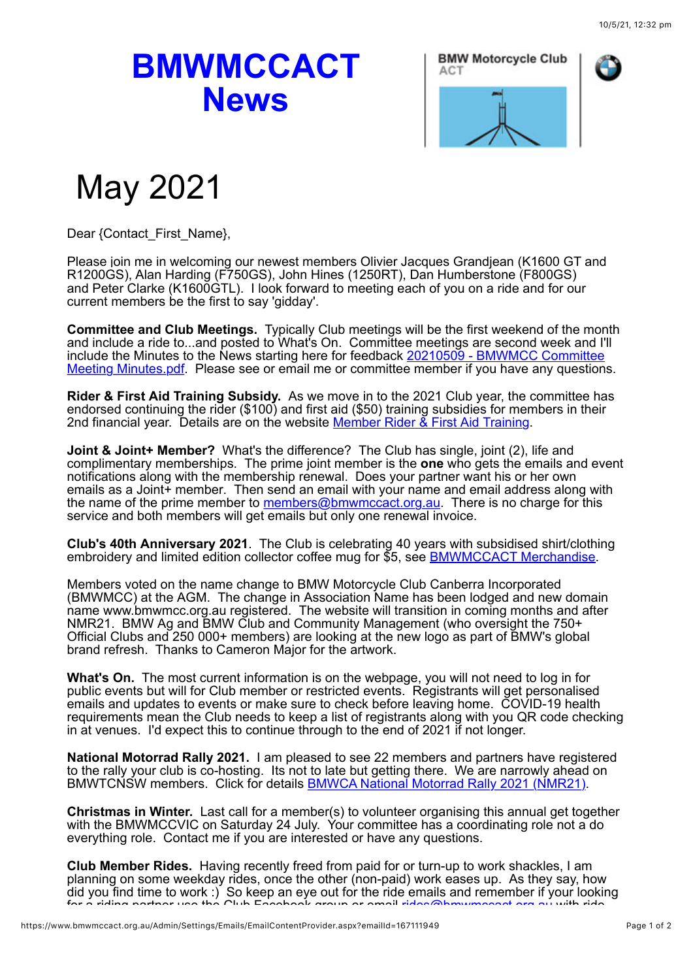## **BMWMCCACT News**





## May 2021

Dear {Contact\_First\_Name},

Please join me in welcoming our newest members Olivier Jacques Grandjean (K1600 GT and R1200GS), Alan Harding (F750GS), John Hines (1250RT), Dan Humberstone (F800GS) and Peter Clarke (K1600GTL). I look forward to meeting each of you on a ride and for our current members be the first to say 'gidday'.

**Committee and Club Meetings.** Typically Club meetings will be the first weekend of the month and include a ride to...and posted to What's On. Committee meetings are second week and I'll include the Minutes to the News starting here for feedback 20210509 - BMWMCC Committee Meeting Minutes.pdf. Please see or email me or committee member if you have any questions.

**Rider & First Aid Training Subsidy.** As we move in to the 2021 Club year, the committee has endorsed continuing the rider (\$100) and first aid (\$50) training subsidies for members in their 2nd financial year. Details are on the website Member Rider & First Aid Training.

**Joint & Joint+ Member?** What's the difference? The Club has single, joint (2), life and complimentary memberships. The prime joint member is the **one** who gets the emails and event notifications along with the membership renewal. Does your partner want his or her own emails as a Joint+ member. Then send an email with your name and email address along with the name of the prime member to members@bmwmccact.org.au. There is no charge for this service and both members will get emails but only one renewal invoice.

**Club's 40th Anniversary 2021**. The Club is celebrating 40 years with subsidised shirt/clothing embroidery and limited edition collector coffee mug for \$5, see BMWMCCACT Merchandise.

Members voted on the name change to BMW Motorcycle Club Canberra Incorporated (BMWMCC) at the AGM. The change in Association Name has been lodged and new domain name www.bmwmcc.org.au registered. The website will transition in coming months and after NMR21. BMW Ag and BMW Club and Community Management (who oversight the 750+ Official Clubs and 250 000+ members) are looking at the new logo as part of BMW's global brand refresh. Thanks to Cameron Major for the artwork.

**What's On.** The most current information is on the webpage, you will not need to log in for public events but will for Club member or restricted events. Registrants will get personalised emails and updates to events or make sure to check before leaving home. COVID-19 health requirements mean the Club needs to keep a list of registrants along with you QR code checking in at venues. I'd expect this to continue through to the end of 2021 if not longer.

**National Motorrad Rally 2021.** I am pleased to see 22 members and partners have registered to the rally your club is co-hosting. Its not to late but getting there. We are narrowly ahead on BMWTCNSW members. Click for details **BMWCA National Motorrad Rally 2021 (NMR21)**.

**Christmas in Winter.** Last call for a member(s) to volunteer organising this annual get together with the BMWMCCVIC on Saturday 24 July. Your committee has a coordinating role not a do everything role. Contact me if you are interested or have any questions.

**Club Member Rides.** Having recently freed from paid for or turn-up to work shackles, I am planning on some weekday rides, once the other (non-paid) work eases up. As they say, how did you find time to work :) So keep an eye out for the ride emails and remember if your looking for a riding partner use the Club Facebook group or email rides@bmwmccact.org.au with ride